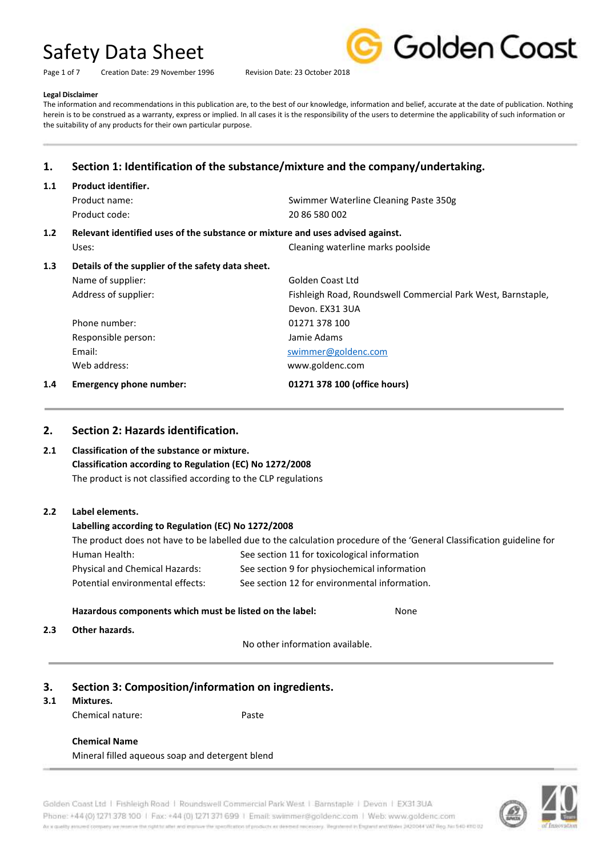Page 1 of 7 Creation Date: 29 November 1996 Revision Date: 23 October 2018



#### **Legal Disclaimer**

The information and recommendations in this publication are, to the best of our knowledge, information and belief, accurate at the date of publication. Nothing herein is to be construed as a warranty, express or implied. In all cases it is the responsibility of the users to determine the applicability of such information or the suitability of any products for their own particular purpose.

# **1. Section 1: Identification of the substance/mixture and the company/undertaking.**

# **1.1 Product identifier.** Product name: Swimmer Waterline Cleaning Paste 350g Product code: 20 86 580 002 **1.2 Relevant identified uses of the substance or mixture and uses advised against.** Uses: Cleaning waterline marks poolside **1.3 Details of the supplier of the safety data sheet.** Name of supplier: Golden Coast Ltd Address of supplier: Fishleigh Road, Roundswell Commercial Park West, Barnstaple, Devon. EX31 3UA Phone number: 01271 378 100 Responsible person: Jamie Adams Email: [swimmer@goldenc.com](mailto:swimmer@goldenc.com) Web address: www.goldenc.com **1.4 Emergency phone number: 01271 378 100 (office hours)**

#### **2. Section 2: Hazards identification.**

### **2.1 Classification of the substance or mixture. Classification according to Regulation (EC) No 1272/2008** The product is not classified according to the CLP regulations

#### **2.2 Label elements.**

#### **Labelling according to Regulation (EC) No 1272/2008**

The product does not have to be labelled due to the calculation procedure of the 'General Classification guideline for Human Health: See section 11 for toxicological information Physical and Chemical Hazards: See section 9 for physiochemical information Potential environmental effects: See section 12 for environmental information.

#### **Hazardous components which must be listed on the label: None**

**2.3 Other hazards.**

No other information available.

### **3. Section 3: Composition/information on ingredients.**

#### **3.1 Mixtures.**

Chemical nature: Paste

# **Chemical Name**

Mineral filled aqueous soap and detergent blend

Golden Coast Ltd | Fishleigh Road | Roundswell Commercial Park West | Barnstaple | Devon | EX313UA Phone: +44 (0) 1271 378 100 | Fax: +44 (0) 1271 371 699 | Email: swimmer@goldenc.com | Web: www.goldenc.com As a quality assumed company we reserve the right to affer and improve the igpeofication of products as deemed recessary. Registered in Enginest and Water 2420044 VAT Reg. No 540-KRD 0.

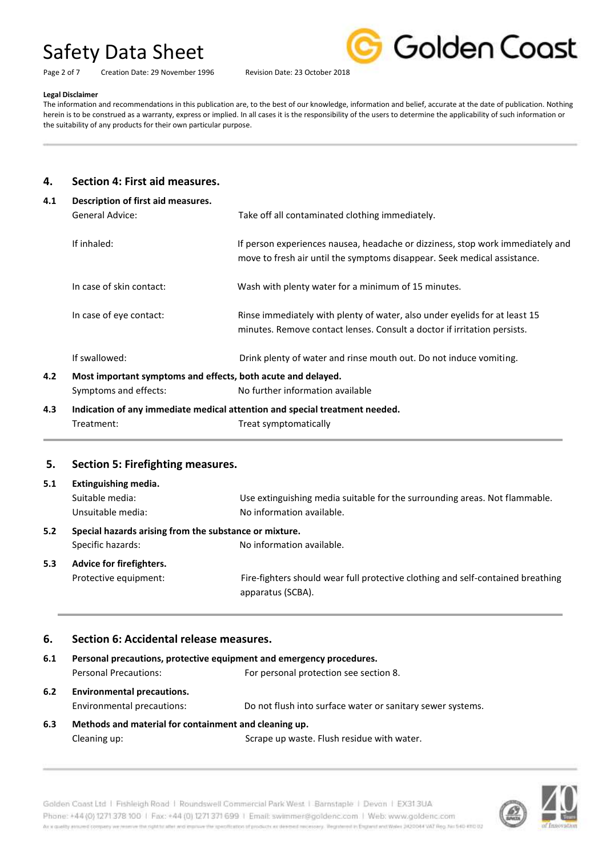Page 2 of 7 Creation Date: 29 November 1996 Revision Date: 23 October 2018



#### **Legal Disclaimer**

The information and recommendations in this publication are, to the best of our knowledge, information and belief, accurate at the date of publication. Nothing herein is to be construed as a warranty, express or implied. In all cases it is the responsibility of the users to determine the applicability of such information or the suitability of any products for their own particular purpose.

### **4. Section 4: First aid measures.**

| 4.1 | Description of first aid measures.                                          |                                                                                                                                                            |  |
|-----|-----------------------------------------------------------------------------|------------------------------------------------------------------------------------------------------------------------------------------------------------|--|
|     | General Advice:                                                             | Take off all contaminated clothing immediately.                                                                                                            |  |
|     | If inhaled:                                                                 | If person experiences nausea, headache or dizziness, stop work immediately and<br>move to fresh air until the symptoms disappear. Seek medical assistance. |  |
|     | In case of skin contact:                                                    | Wash with plenty water for a minimum of 15 minutes.                                                                                                        |  |
|     | In case of eye contact:                                                     | Rinse immediately with plenty of water, also under eyelids for at least 15<br>minutes. Remove contact lenses. Consult a doctor if irritation persists.     |  |
|     | If swallowed:                                                               | Drink plenty of water and rinse mouth out. Do not induce vomiting.                                                                                         |  |
| 4.2 | Most important symptoms and effects, both acute and delayed.                |                                                                                                                                                            |  |
|     | Symptoms and effects:                                                       | No further information available                                                                                                                           |  |
| 4.3 | Indication of any immediate medical attention and special treatment needed. |                                                                                                                                                            |  |
|     | Treatment:                                                                  | Treat symptomatically                                                                                                                                      |  |

# **5. Section 5: Firefighting measures.**

| 5.1 | Extinguishing media.                                   |                                                                                 |
|-----|--------------------------------------------------------|---------------------------------------------------------------------------------|
|     | Suitable media:                                        | Use extinguishing media suitable for the surrounding areas. Not flammable.      |
|     | Unsuitable media:                                      | No information available.                                                       |
| 5.2 | Special hazards arising from the substance or mixture. |                                                                                 |
|     | Specific hazards:                                      | No information available.                                                       |
| 5.3 | Advice for firefighters.                               |                                                                                 |
|     | Protective equipment:                                  | Fire-fighters should wear full protective clothing and self-contained breathing |
|     |                                                        | apparatus (SCBA).                                                               |

#### **6. Section 6: Accidental release measures.**

| 6.1                                      | Personal precautions, protective equipment and emergency procedures. |                                                            |  |
|------------------------------------------|----------------------------------------------------------------------|------------------------------------------------------------|--|
|                                          | Personal Precautions:                                                | For personal protection see section 8.                     |  |
| <b>Environmental precautions.</b><br>6.2 |                                                                      |                                                            |  |
|                                          | Environmental precautions:                                           | Do not flush into surface water or sanitary sewer systems. |  |
| 6.3                                      | Methods and material for containment and cleaning up.                |                                                            |  |





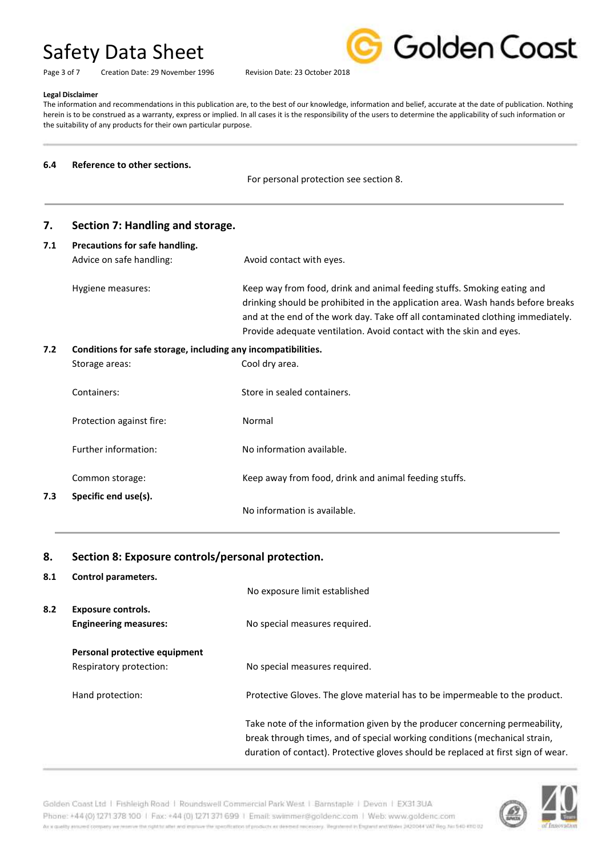Page 3 of 7 Creation Date: 29 November 1996 Revision Date: 23 October 2018



#### **Legal Disclaimer**

The information and recommendations in this publication are, to the best of our knowledge, information and belief, accurate at the date of publication. Nothing herein is to be construed as a warranty, express or implied. In all cases it is the responsibility of the users to determine the applicability of such information or the suitability of any products for their own particular purpose.

#### **6.4 Reference to other sections.**

For personal protection see section 8.

| 7.  | Section 7: Handling and storage.                              |                                                                                                                                                                                                                                                                                                                      |
|-----|---------------------------------------------------------------|----------------------------------------------------------------------------------------------------------------------------------------------------------------------------------------------------------------------------------------------------------------------------------------------------------------------|
| 7.1 | Precautions for safe handling.                                |                                                                                                                                                                                                                                                                                                                      |
|     | Advice on safe handling:                                      | Avoid contact with eyes.                                                                                                                                                                                                                                                                                             |
|     | Hygiene measures:                                             | Keep way from food, drink and animal feeding stuffs. Smoking eating and<br>drinking should be prohibited in the application area. Wash hands before breaks<br>and at the end of the work day. Take off all contaminated clothing immediately.<br>Provide adequate ventilation. Avoid contact with the skin and eyes. |
| 7.2 | Conditions for safe storage, including any incompatibilities. |                                                                                                                                                                                                                                                                                                                      |
|     | Storage areas:                                                | Cool dry area.                                                                                                                                                                                                                                                                                                       |
|     | Containers:                                                   | Store in sealed containers.                                                                                                                                                                                                                                                                                          |
|     | Protection against fire:                                      | Normal                                                                                                                                                                                                                                                                                                               |
|     | Further information:                                          | No information available.                                                                                                                                                                                                                                                                                            |
|     | Common storage:                                               | Keep away from food, drink and animal feeding stuffs.                                                                                                                                                                                                                                                                |
| 7.3 | Specific end use(s).                                          |                                                                                                                                                                                                                                                                                                                      |
|     |                                                               | No information is available.                                                                                                                                                                                                                                                                                         |

#### **8. Section 8: Exposure controls/personal protection.**

**8.1 Control parameters.**

|     |                                                          | No exposure limit established                                                                                                                                                                                                                  |
|-----|----------------------------------------------------------|------------------------------------------------------------------------------------------------------------------------------------------------------------------------------------------------------------------------------------------------|
| 8.2 | Exposure controls.<br><b>Engineering measures:</b>       | No special measures required.                                                                                                                                                                                                                  |
|     | Personal protective equipment<br>Respiratory protection: | No special measures required.                                                                                                                                                                                                                  |
|     | Hand protection:                                         | Protective Gloves. The glove material has to be impermeable to the product.                                                                                                                                                                    |
|     |                                                          | Take note of the information given by the producer concerning permeability,<br>break through times, and of special working conditions (mechanical strain,<br>duration of contact). Protective gloves should be replaced at first sign of wear. |

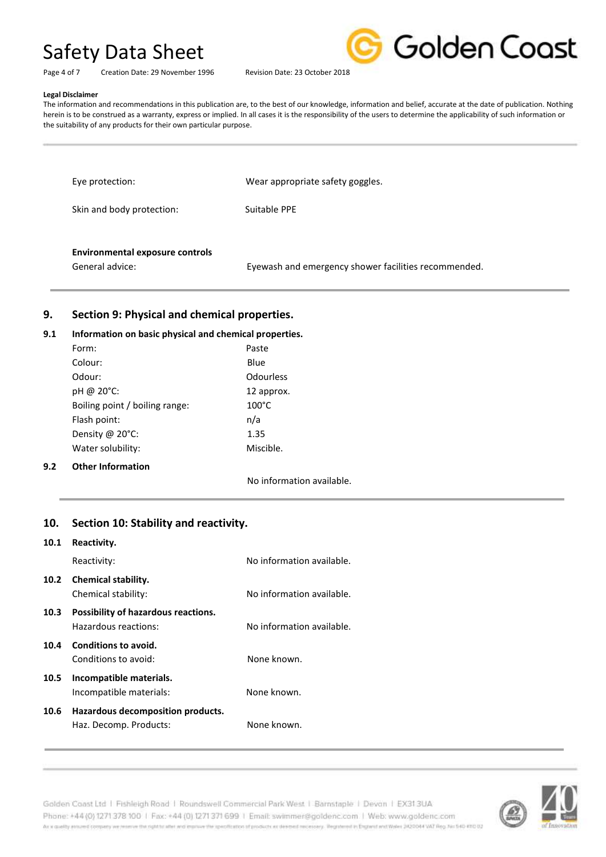



Page 4 of 7 Creation Date: 29 November 1996 Revision Date: 23 October 2018

#### **Legal Disclaimer**

The information and recommendations in this publication are, to the best of our knowledge, information and belief, accurate at the date of publication. Nothing herein is to be construed as a warranty, express or implied. In all cases it is the responsibility of the users to determine the applicability of such information or the suitability of any products for their own particular purpose.

| Eye protection:           | Wear appropriate safety goggles. |
|---------------------------|----------------------------------|
| Skin and body protection: | Suitable PPE                     |
|                           |                                  |

#### **Environmental exposure controls**

General advice: Eyewash and emergency shower facilities recommended.

### **9. Section 9: Physical and chemical properties.**

#### **9.1 Information on basic physical and chemical properties.**

|     | Form:                          | Paste                     |
|-----|--------------------------------|---------------------------|
|     | Colour:                        | Blue                      |
|     | Odour:                         | <b>Odourless</b>          |
|     | pH @ 20°C:                     | 12 approx.                |
|     | Boiling point / boiling range: | $100^{\circ}$ C           |
|     | Flash point:                   | n/a                       |
|     | Density @ 20°C:                | 1.35                      |
|     | Water solubility:              | Miscible.                 |
| 9.2 | <b>Other Information</b>       |                           |
|     |                                | No information available. |

#### **10. Section 10: Stability and reactivity.**

#### **10.1 Reactivity.**

|      | Reactivity:                                                 | No information available. |
|------|-------------------------------------------------------------|---------------------------|
|      | 10.2 Chemical stability.<br>Chemical stability:             | No information available. |
| 10.3 | Possibility of hazardous reactions.<br>Hazardous reactions: | No information available. |
| 10.4 | <b>Conditions to avoid.</b><br>Conditions to avoid:         | None known.               |
| 10.5 | Incompatible materials.<br>Incompatible materials:          | None known.               |
| 10.6 | Hazardous decomposition products.<br>Haz. Decomp. Products: | None known.               |

Golden Coast Ltd | Fishleigh Road | Roundswell Commercial Park West | Barnstaple | Devon | EX313UA Phone: +44 (0) 1271 378 100 | Fax: +44 (0) 1271 371 699 | Email: swimmer@goldenc.com | Web: www.goldenc.com As a quality ensured company we reserve the right to after and enprice the specification of products as deepent recessary. Registered in England and Wales (AQDO44 VAT Reg. Just 540-410 D2

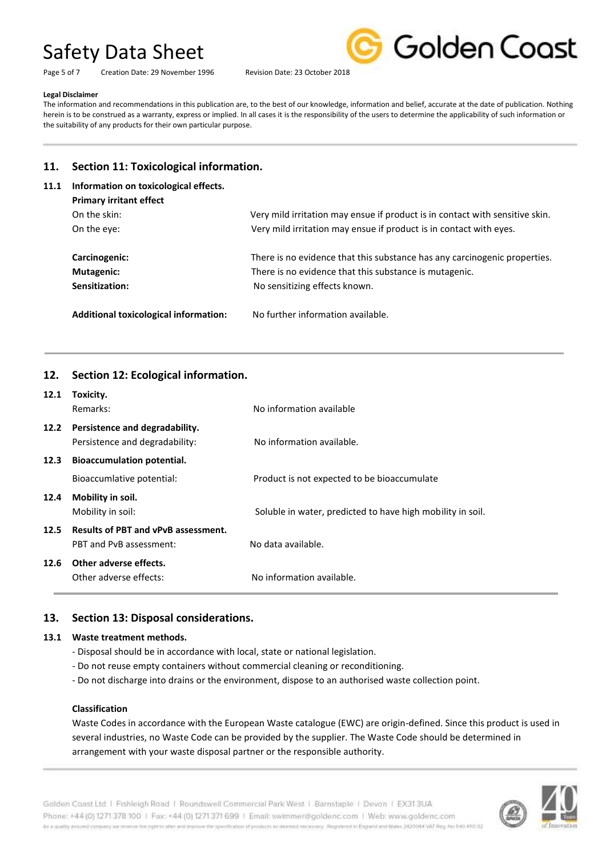Page 5 of 7 Creation Date: 29 November 1996 Revision Date: 23 October 2018



#### **Legal Disclaimer**

The information and recommendations in this publication are, to the best of our knowledge, information and belief, accurate at the date of publication. Nothing herein is to be construed as a warranty, express or implied. In all cases it is the responsibility of the users to determine the applicability of such information or the suitability of any products for their own particular purpose.

### **11. Section 11: Toxicological information.**

# **11.1 Information on toxicological effects.**

| <b>Primary irritant effect</b>        |                                                                              |
|---------------------------------------|------------------------------------------------------------------------------|
| On the skin:                          | Very mild irritation may ensue if product is in contact with sensitive skin. |
| On the eve:                           | Very mild irritation may ensue if product is in contact with eyes.           |
|                                       |                                                                              |
| Carcinogenic:                         | There is no evidence that this substance has any carcinogenic properties.    |
| Mutagenic:                            | There is no evidence that this substance is mutagenic.                       |
| Sensitization:                        | No sensitizing effects known.                                                |
|                                       |                                                                              |
| Additional toxicological information: | No further information available.                                            |
|                                       |                                                                              |

# **12. Section 12: Ecological information.**

| 12.1 | Toxicity.                                  |                                                            |  |
|------|--------------------------------------------|------------------------------------------------------------|--|
|      | Remarks:                                   | No information available                                   |  |
| 12.2 | Persistence and degradability.             |                                                            |  |
|      | Persistence and degradability:             | No information available.                                  |  |
| 12.3 | <b>Bioaccumulation potential.</b>          |                                                            |  |
|      | Bioaccumlative potential:                  | Product is not expected to be bioaccumulate                |  |
| 12.4 | Mobility in soil.                          |                                                            |  |
|      | Mobility in soil:                          | Soluble in water, predicted to have high mobility in soil. |  |
| 12.5 | <b>Results of PBT and vPvB assessment.</b> |                                                            |  |
|      | PBT and PvB assessment:                    | No data available.                                         |  |
| 12.6 | Other adverse effects.                     |                                                            |  |
|      | Other adverse effects:                     | No information available.                                  |  |

### **13. Section 13: Disposal considerations.**

#### **13.1 Waste treatment methods.**

- Disposal should be in accordance with local, state or national legislation.
- Do not reuse empty containers without commercial cleaning or reconditioning.
- Do not discharge into drains or the environment, dispose to an authorised waste collection point.

#### **Classification**

Waste Codes in accordance with the European Waste catalogue (EWC) are origin-defined. Since this product is used in several industries, no Waste Code can be provided by the supplier. The Waste Code should be determined in arrangement with your waste disposal partner or the responsible authority.



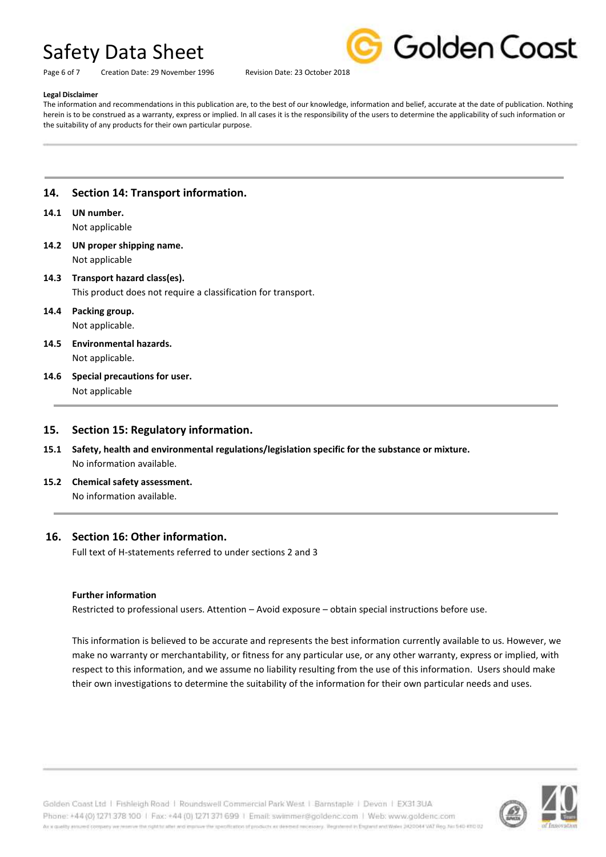Page 6 of 7 Creation Date: 29 November 1996 Revision Date: 23 October 2018



#### **Legal Disclaimer**

The information and recommendations in this publication are, to the best of our knowledge, information and belief, accurate at the date of publication. Nothing herein is to be construed as a warranty, express or implied. In all cases it is the responsibility of the users to determine the applicability of such information or the suitability of any products for their own particular purpose.

### **14. Section 14: Transport information.**

# **14.1 UN number.**

Not applicable

**14.2 UN proper shipping name.** Not applicable

### **14.3 Transport hazard class(es).**

This product does not require a classification for transport.

# **14.4 Packing group.**

Not applicable.

- **14.5 Environmental hazards.** Not applicable.
- **14.6 Special precautions for user.** Not applicable

#### **15. Section 15: Regulatory information.**

- **15.1 Safety, health and environmental regulations/legislation specific for the substance or mixture.** No information available.
- **15.2 Chemical safety assessment.** No information available.

#### **16. Section 16: Other information.**

Full text of H-statements referred to under sections 2 and 3

#### **Further information**

Restricted to professional users. Attention – Avoid exposure – obtain special instructions before use.

This information is believed to be accurate and represents the best information currently available to us. However, we make no warranty or merchantability, or fitness for any particular use, or any other warranty, express or implied, with respect to this information, and we assume no liability resulting from the use of this information. Users should make their own investigations to determine the suitability of the information for their own particular needs and uses.